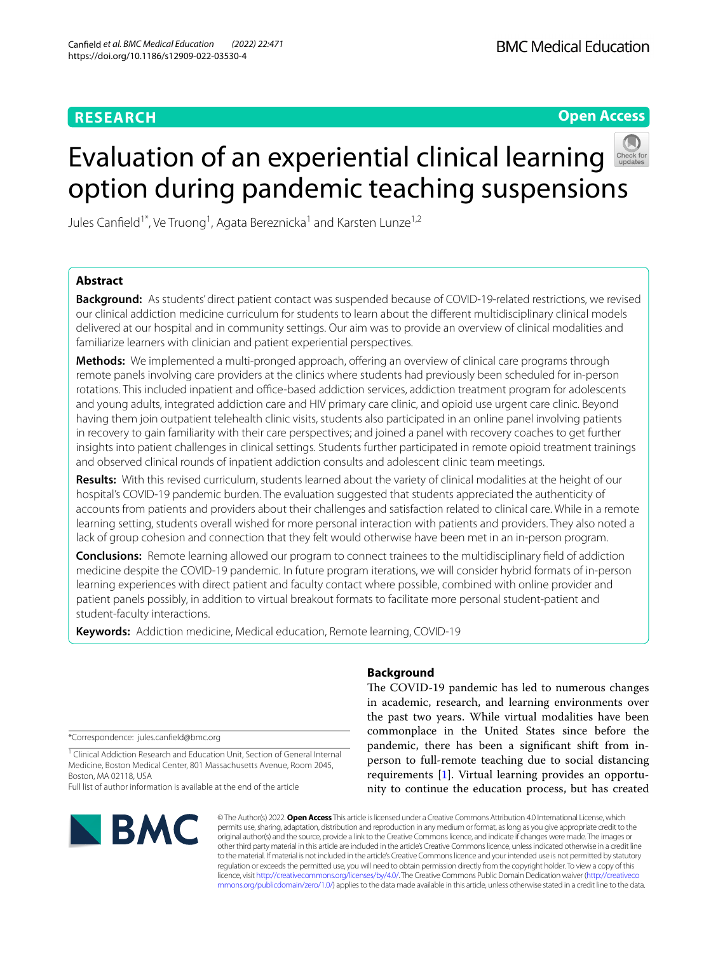# **Open Access**



# Evaluation of an experiential clinical learning option during pandemic teaching suspensions

Jules Canfield<sup>1\*</sup>, Ve Truong<sup>1</sup>, Agata Bereznicka<sup>1</sup> and Karsten Lunze<sup>1,2</sup>

# **Abstract**

**Background:** As students' direct patient contact was suspended because of COVID-19-related restrictions, we revised our clinical addiction medicine curriculum for students to learn about the diferent multidisciplinary clinical models delivered at our hospital and in community settings. Our aim was to provide an overview of clinical modalities and familiarize learners with clinician and patient experiential perspectives.

Methods: We implemented a multi-pronged approach, offering an overview of clinical care programs through remote panels involving care providers at the clinics where students had previously been scheduled for in-person rotations. This included inpatient and office-based addiction services, addiction treatment program for adolescents and young adults, integrated addiction care and HIV primary care clinic, and opioid use urgent care clinic. Beyond having them join outpatient telehealth clinic visits, students also participated in an online panel involving patients in recovery to gain familiarity with their care perspectives; and joined a panel with recovery coaches to get further insights into patient challenges in clinical settings. Students further participated in remote opioid treatment trainings and observed clinical rounds of inpatient addiction consults and adolescent clinic team meetings.

**Results:** With this revised curriculum, students learned about the variety of clinical modalities at the height of our hospital's COVID-19 pandemic burden. The evaluation suggested that students appreciated the authenticity of accounts from patients and providers about their challenges and satisfaction related to clinical care. While in a remote learning setting, students overall wished for more personal interaction with patients and providers. They also noted a lack of group cohesion and connection that they felt would otherwise have been met in an in-person program.

**Conclusions:** Remote learning allowed our program to connect trainees to the multidisciplinary feld of addiction medicine despite the COVID-19 pandemic. In future program iterations, we will consider hybrid formats of in-person learning experiences with direct patient and faculty contact where possible, combined with online provider and patient panels possibly, in addition to virtual breakout formats to facilitate more personal student-patient and student-faculty interactions.

**Keywords:** Addiction medicine, Medical education, Remote learning, COVID-19

\*Correspondence: jules.canfeld@bmc.org

<sup>1</sup> Clinical Addiction Research and Education Unit, Section of General Internal Medicine, Boston Medical Center, 801 Massachusetts Avenue, Room 2045, Boston, MA 02118, USA

Full list of author information is available at the end of the article



# **Background**

The COVID-19 pandemic has led to numerous changes in academic, research, and learning environments over the past two years. While virtual modalities have been commonplace in the United States since before the pandemic, there has been a signifcant shift from inperson to full-remote teaching due to social distancing requirements [\[1](#page-4-0)]. Virtual learning provides an opportunity to continue the education process, but has created

© The Author(s) 2022. **Open Access** This article is licensed under a Creative Commons Attribution 4.0 International License, which permits use, sharing, adaptation, distribution and reproduction in any medium or format, as long as you give appropriate credit to the original author(s) and the source, provide a link to the Creative Commons licence, and indicate if changes were made. The images or other third party material in this article are included in the article's Creative Commons licence, unless indicated otherwise in a credit line to the material. If material is not included in the article's Creative Commons licence and your intended use is not permitted by statutory regulation or exceeds the permitted use, you will need to obtain permission directly from the copyright holder. To view a copy of this licence, visit [http://creativecommons.org/licenses/by/4.0/.](http://creativecommons.org/licenses/by/4.0/) The Creative Commons Public Domain Dedication waiver ([http://creativeco](http://creativecommons.org/publicdomain/zero/1.0/) [mmons.org/publicdomain/zero/1.0/](http://creativecommons.org/publicdomain/zero/1.0/)) applies to the data made available in this article, unless otherwise stated in a credit line to the data.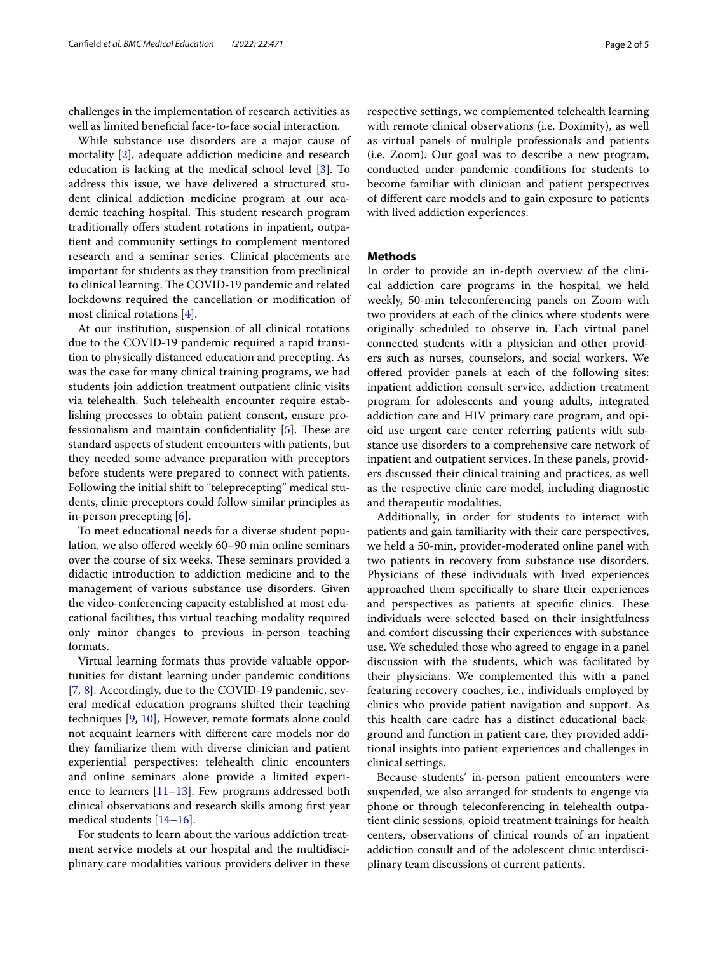challenges in the implementation of research activities as well as limited beneficial face-to-face social interaction.

While substance use disorders are a major cause of mortality [\[2\]](#page-4-1), adequate addiction medicine and research education is lacking at the medical school level [[3\]](#page-4-2). To address this issue, we have delivered a structured student clinical addiction medicine program at our academic teaching hospital. This student research program traditionally offers student rotations in inpatient, outpatient and community settings to complement mentored research and a seminar series. Clinical placements are important for students as they transition from preclinical to clinical learning. The COVID-19 pandemic and related lockdowns required the cancellation or modifcation of most clinical rotations [\[4](#page-4-3)].

At our institution, suspension of all clinical rotations due to the COVID‐19 pandemic required a rapid transition to physically distanced education and precepting. As was the case for many clinical training programs, we had students join addiction treatment outpatient clinic visits via telehealth. Such telehealth encounter require establishing processes to obtain patient consent, ensure professionalism and maintain confidentiality  $[5]$ . These are standard aspects of student encounters with patients, but they needed some advance preparation with preceptors before students were prepared to connect with patients. Following the initial shift to "teleprecepting" medical students, clinic preceptors could follow similar principles as in-person precepting [\[6](#page-4-5)].

To meet educational needs for a diverse student population, we also offered weekly 60–90 min online seminars over the course of six weeks. These seminars provided a didactic introduction to addiction medicine and to the management of various substance use disorders. Given the video-conferencing capacity established at most educational facilities, this virtual teaching modality required only minor changes to previous in-person teaching formats.

Virtual learning formats thus provide valuable opportunities for distant learning under pandemic conditions [[7,](#page-4-6) [8\]](#page-4-7). Accordingly, due to the COVID-19 pandemic, several medical education programs shifted their teaching techniques [\[9](#page-4-8), [10](#page-4-9)], However, remote formats alone could not acquaint learners with diferent care models nor do they familiarize them with diverse clinician and patient experiential perspectives: telehealth clinic encounters and online seminars alone provide a limited experience to learners  $[11-13]$  $[11-13]$  $[11-13]$ . Few programs addressed both clinical observations and research skills among frst year medical students [\[14](#page-4-12)[–16\]](#page-4-13).

For students to learn about the various addiction treatment service models at our hospital and the multidisciplinary care modalities various providers deliver in these respective settings, we complemented telehealth learning with remote clinical observations (i.e. Doximity), as well as virtual panels of multiple professionals and patients (i.e. Zoom). Our goal was to describe a new program, conducted under pandemic conditions for students to become familiar with clinician and patient perspectives of diferent care models and to gain exposure to patients with lived addiction experiences.

## **Methods**

In order to provide an in-depth overview of the clinical addiction care programs in the hospital, we held weekly, 50-min teleconferencing panels on Zoom with two providers at each of the clinics where students were originally scheduled to observe in. Each virtual panel connected students with a physician and other providers such as nurses, counselors, and social workers. We offered provider panels at each of the following sites: inpatient addiction consult service, addiction treatment program for adolescents and young adults, integrated addiction care and HIV primary care program, and opioid use urgent care center referring patients with substance use disorders to a comprehensive care network of inpatient and outpatient services. In these panels, providers discussed their clinical training and practices, as well as the respective clinic care model, including diagnostic and therapeutic modalities.

Additionally, in order for students to interact with patients and gain familiarity with their care perspectives, we held a 50-min, provider-moderated online panel with two patients in recovery from substance use disorders. Physicians of these individuals with lived experiences approached them specifcally to share their experiences and perspectives as patients at specific clinics. These individuals were selected based on their insightfulness and comfort discussing their experiences with substance use. We scheduled those who agreed to engage in a panel discussion with the students, which was facilitated by their physicians. We complemented this with a panel featuring recovery coaches, i.e., individuals employed by clinics who provide patient navigation and support. As this health care cadre has a distinct educational background and function in patient care, they provided additional insights into patient experiences and challenges in clinical settings.

Because students' in-person patient encounters were suspended, we also arranged for students to engenge via phone or through teleconferencing in telehealth outpatient clinic sessions, opioid treatment trainings for health centers, observations of clinical rounds of an inpatient addiction consult and of the adolescent clinic interdisciplinary team discussions of current patients.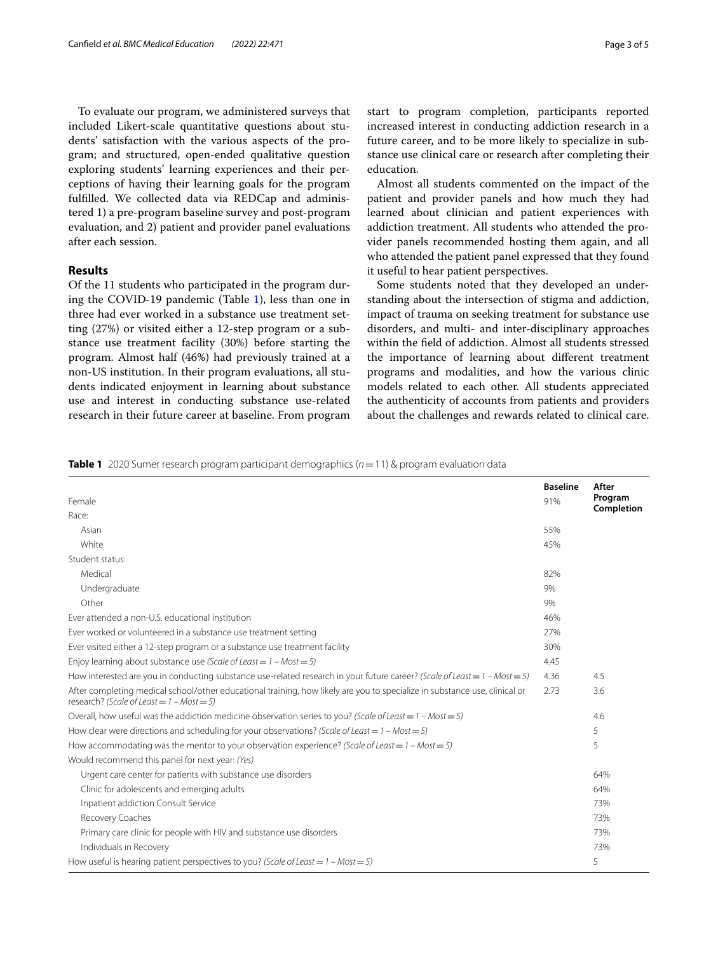To evaluate our program, we administered surveys that included Likert-scale quantitative questions about students' satisfaction with the various aspects of the program; and structured, open-ended qualitative question exploring students' learning experiences and their perceptions of having their learning goals for the program fulflled. We collected data via REDCap and administered 1) a pre-program baseline survey and post-program evaluation, and 2) patient and provider panel evaluations after each session.

# **Results**

Of the 11 students who participated in the program during the COVID‐19 pandemic (Table [1](#page-2-0)), less than one in three had ever worked in a substance use treatment setting (27%) or visited either a 12-step program or a substance use treatment facility (30%) before starting the program. Almost half (46%) had previously trained at a non-US institution. In their program evaluations, all students indicated enjoyment in learning about substance use and interest in conducting substance use-related research in their future career at baseline. From program start to program completion, participants reported increased interest in conducting addiction research in a future career, and to be more likely to specialize in substance use clinical care or research after completing their education.

Almost all students commented on the impact of the patient and provider panels and how much they had learned about clinician and patient experiences with addiction treatment. All students who attended the provider panels recommended hosting them again, and all who attended the patient panel expressed that they found it useful to hear patient perspectives.

Some students noted that they developed an understanding about the intersection of stigma and addiction, impact of trauma on seeking treatment for substance use disorders, and multi- and inter-disciplinary approaches within the feld of addiction. Almost all students stressed the importance of learning about diferent treatment programs and modalities, and how the various clinic models related to each other. All students appreciated the authenticity of accounts from patients and providers about the challenges and rewards related to clinical care.

<span id="page-2-0"></span>**Table 1** 2020 Sumer research program participant demographics (*n*=11) & program evaluation data

| Female                                                                                                                                                                     | <b>Baseline</b><br>91% | After<br>Program<br>Completion |
|----------------------------------------------------------------------------------------------------------------------------------------------------------------------------|------------------------|--------------------------------|
| Race:                                                                                                                                                                      |                        |                                |
| Asian                                                                                                                                                                      | 55%                    |                                |
| White                                                                                                                                                                      | 45%                    |                                |
| Student status:                                                                                                                                                            |                        |                                |
| Medical                                                                                                                                                                    | 82%                    |                                |
| Undergraduate                                                                                                                                                              | 9%                     |                                |
| Other                                                                                                                                                                      | 9%                     |                                |
| Ever attended a non-U.S. educational institution                                                                                                                           | 46%                    |                                |
| Ever worked or volunteered in a substance use treatment setting                                                                                                            | 27%                    |                                |
| Ever visited either a 12-step program or a substance use treatment facility                                                                                                | 30%                    |                                |
| Enjoy learning about substance use (Scale of Least = $1 - Most = 5$ )                                                                                                      | 4.45                   |                                |
| How interested are you in conducting substance use-related research in your future career? (Scale of Least = $1 - Most = 5$ )                                              | 4.36                   | 4.5                            |
| After completing medical school/other educational training, how likely are you to specialize in substance use, clinical or<br>research? (Scale of Least = $1 - Most = 5$ ) | 2.73                   | 3.6                            |
| Overall, how useful was the addiction medicine observation series to you? (Scale of Least = $1 - Most = 5$ )                                                               |                        | 4.6                            |
| How clear were directions and scheduling for your observations? (Scale of Least = $1 - Most = 5$ )                                                                         |                        | 5                              |
| How accommodating was the mentor to your observation experience? (Scale of Least = $1 - Most = 5$ )                                                                        |                        | 5                              |
| Would recommend this panel for next year: (Yes)                                                                                                                            |                        |                                |
| Urgent care center for patients with substance use disorders                                                                                                               |                        | 64%                            |
| Clinic for adolescents and emerging adults                                                                                                                                 |                        | 64%                            |
| Inpatient addiction Consult Service                                                                                                                                        |                        | 73%                            |
| Recovery Coaches                                                                                                                                                           |                        | 73%                            |
| Primary care clinic for people with HIV and substance use disorders                                                                                                        |                        | 73%                            |
| Individuals in Recovery                                                                                                                                                    |                        | 73%                            |
| How useful is hearing patient perspectives to you? (Scale of Least = $1 - Most = 5$ )                                                                                      |                        | 5                              |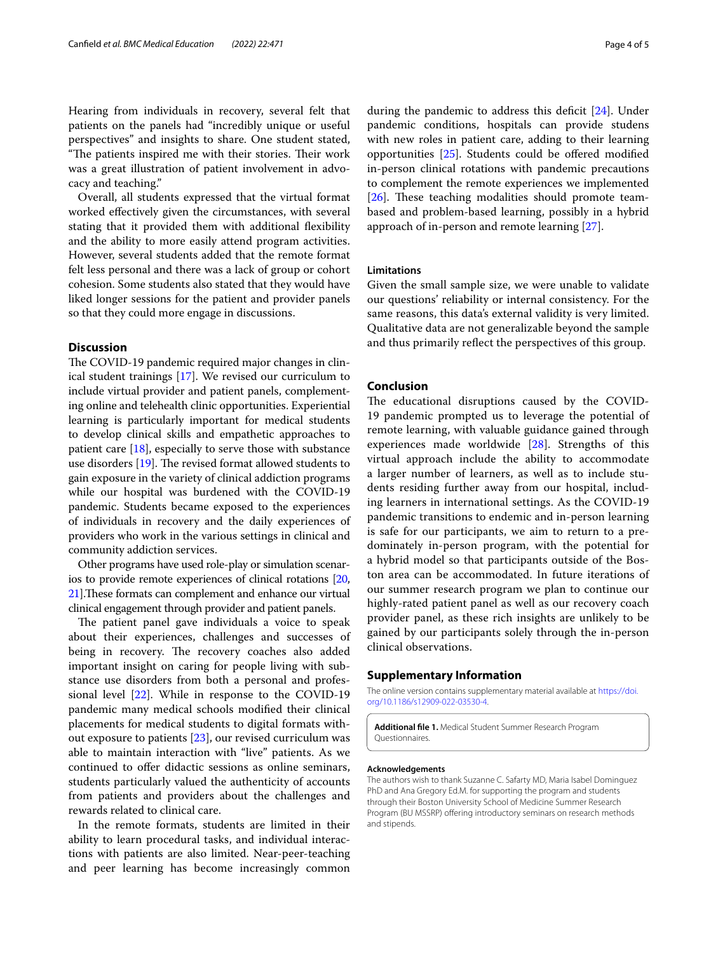Hearing from individuals in recovery, several felt that patients on the panels had "incredibly unique or useful perspectives" and insights to share. One student stated, "The patients inspired me with their stories. Their work was a great illustration of patient involvement in advocacy and teaching."

Overall, all students expressed that the virtual format worked efectively given the circumstances, with several stating that it provided them with additional fexibility and the ability to more easily attend program activities. However, several students added that the remote format felt less personal and there was a lack of group or cohort cohesion. Some students also stated that they would have liked longer sessions for the patient and provider panels so that they could more engage in discussions.

# **Discussion**

The COVID-19 pandemic required major changes in clinical student trainings [\[17](#page-4-14)]. We revised our curriculum to include virtual provider and patient panels, complementing online and telehealth clinic opportunities. Experiential learning is particularly important for medical students to develop clinical skills and empathetic approaches to patient care  $[18]$  $[18]$  $[18]$ , especially to serve those with substance use disorders  $[19]$  $[19]$  $[19]$ . The revised format allowed students to gain exposure in the variety of clinical addiction programs while our hospital was burdened with the COVID-19 pandemic. Students became exposed to the experiences of individuals in recovery and the daily experiences of providers who work in the various settings in clinical and community addiction services.

Other programs have used role-play or simulation scenarios to provide remote experiences of clinical rotations [\[20](#page-4-17), [21](#page-4-18)]. These formats can complement and enhance our virtual clinical engagement through provider and patient panels.

The patient panel gave individuals a voice to speak about their experiences, challenges and successes of being in recovery. The recovery coaches also added important insight on caring for people living with substance use disorders from both a personal and professional level [[22\]](#page-4-19). While in response to the COVID-19 pandemic many medical schools modifed their clinical placements for medical students to digital formats without exposure to patients [[23\]](#page-4-20), our revised curriculum was able to maintain interaction with "live" patients. As we continued to offer didactic sessions as online seminars, students particularly valued the authenticity of accounts from patients and providers about the challenges and rewards related to clinical care.

In the remote formats, students are limited in their ability to learn procedural tasks, and individual interactions with patients are also limited. Near-peer-teaching and peer learning has become increasingly common

during the pandemic to address this deficit  $[24]$  $[24]$ . Under pandemic conditions, hospitals can provide studens with new roles in patient care, adding to their learning opportunities [[25\]](#page-4-22). Students could be ofered modifed in-person clinical rotations with pandemic precautions to complement the remote experiences we implemented  $[26]$  $[26]$ . These teaching modalities should promote teambased and problem-based learning, possibly in a hybrid approach of in-person and remote learning [[27\]](#page-4-24).

# **Limitations**

Given the small sample size, we were unable to validate our questions' reliability or internal consistency. For the same reasons, this data's external validity is very limited. Qualitative data are not generalizable beyond the sample and thus primarily refect the perspectives of this group.

## **Conclusion**

The educational disruptions caused by the COVID-19 pandemic prompted us to leverage the potential of remote learning, with valuable guidance gained through experiences made worldwide [\[28](#page-4-25)]. Strengths of this virtual approach include the ability to accommodate a larger number of learners, as well as to include students residing further away from our hospital, including learners in international settings. As the COVID-19 pandemic transitions to endemic and in-person learning is safe for our participants, we aim to return to a predominately in-person program, with the potential for a hybrid model so that participants outside of the Boston area can be accommodated. In future iterations of our summer research program we plan to continue our highly-rated patient panel as well as our recovery coach provider panel, as these rich insights are unlikely to be gained by our participants solely through the in-person clinical observations.

### **Supplementary Information**

The online version contains supplementary material available at [https://doi.](https://doi.org/10.1186/s12909-022-03530-4) [org/10.1186/s12909-022-03530-4](https://doi.org/10.1186/s12909-022-03530-4).

**Additional fle 1.** Medical Student Summer Research Program Questionnaires.

#### **Acknowledgements**

The authors wish to thank Suzanne C. Safarty MD, Maria Isabel Dominguez PhD and Ana Gregory Ed.M. for supporting the program and students through their Boston University School of Medicine Summer Research Program (BU MSSRP) offering introductory seminars on research methods and stipends.